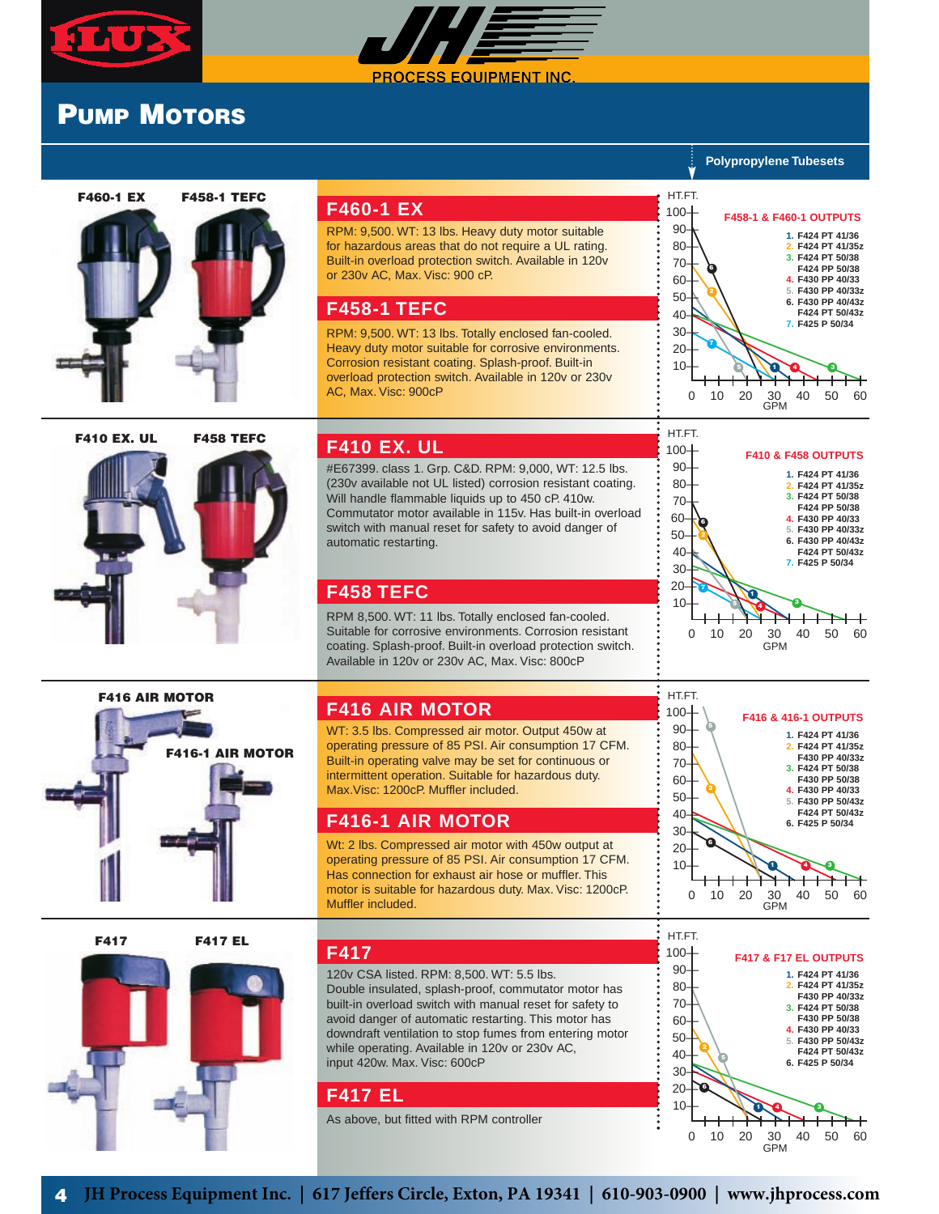



# **PUMP MOTORS**



#### for hazardous areas that do not require a UL rating. Built-in overload protection switch. Available in 120v or 230v AC, Max. Visc: 900 cP.

## **F458-1 TEFC**

**F460-1 EX**

RPM: 9,500. WT: 13 lbs. Totally enclosed fan-cooled. Heavy duty motor suitable for corrosive environments. Corrosion resistant coating. Splash-proof. Built-in overload protection switch. Available in 120v or 230v AC, Max. Visc: 900cP

RPM: 9,500. WT: 13 lbs. Heavy duty motor suitable



**F416-1 AIR MOTOR**



**F416 AIR MOTOR**

## **F410 EX. UL**

#E67399. class 1. Grp. C&D. RPM: 9,000, WT: 12.5 lbs. (230v available not UL listed) corrosion resistant coating. Will handle flammable liquids up to 450 cP. 410w. Commutator motor available in 115v. Has built-in overload switch with manual reset for safety to avoid danger of automatic restarting.

## **F458 TEFC**

RPM 8,500. WT: 11 lbs. Totally enclosed fan-cooled. Suitable for corrosive environments. Corrosion resistant coating. Splash-proof. Built-in overload protection switch. Available in 120v or 230v AC, Max. Visc: 800cP

## **F416 AIR MOTOR**

WT: 3.5 lbs. Compressed air motor. Output 450w at operating pressure of 85 PSI. Air consumption 17 CFM. Built-in operating valve may be set for continuous or intermittent operation. Suitable for hazardous duty. Max.Visc: 1200cP. Muffler included.

## **F416-1 AIR MOTOR**

Wt: 2 lbs. Compressed air motor with 450w output at operating pressure of 85 PSI. Air consumption 17 CFM. Has connection for exhaust air hose or muffler. This motor is suitable for hazardous duty. Max. Visc: 1200cP. Muffler included.



**4**

#### **F417**

120v CSA listed. RPM: 8,500. WT: 5.5 lbs. Double insulated, splash-proof, commutator motor has built-in overload switch with manual reset for safety to avoid danger of automatic restarting. This motor has downdraft ventilation to stop fumes from entering motor while operating. Available in 120v or 230v AC, input 420w. Max. Visc: 600cP

**F417 EL**

As above, but fitted with RPM controller

**F458-1 & F460-1 OUTPUTS 1. F424 PT 41/36 2. F424 PT 41/35z 3. F424 PT 50/38 F424 PP 50/38 4. F430 PP 40/33 5. F430 PP 40/33z 6. F430 PP 40/43z F424 PT 50/43z 7. F425 P 50/34** HT.FT. 100— 90— 80— 70— 60— 50— 40— 30— 20— 10— 0 10 20 30 40 50 60 GPM **F416 & 416-1 OUTPUTS F410 & F458 OUTPUTS 1. F424 PT 41/36 2. F424 PT 41/35z F430 PP 40/33z 3. F424 PT 50/38 F430 PP 50/38 4. F430 PP 40/33 5. F430 PP 50/43z F424 PT 50/43z 6. F425 P 50/34** HT.FT. 100— 90— 80— 70— 60— 50— 40— 30— 20—  $1<sub>0</sub>$ 0 10 20 30 40 50 60 GPM **F417 & F17 EL OUTPUTS 1. F424 PT 41/36 2. F424 PT 41/35z F430 PP 40/33z 3. F424 PT 50/38 F430 PP 50/38 4. F430 PP 40/33 5. F430 PP 50/43z F424 PT 50/43z 6. F425 P 50/34** HT.FT.  $100 90$ 80— 70— 60— 50— 40— 30— 20— 10— **1. F424 PT 41/36 2. F424 PT 41/35z 3. F424 PT 50/38 F424 PP 50/38 4. F430 PP 40/33 5. F430 PP 40/33z 6. F430 PP 40/43z F424 PT 50/43z 7. F425 P 50/34** GPM HT.FT. 100— 90— 80— 70— 60— 50—  $40$ 30— 20— 10— 0 10 20 30 40 50 60 **6 7 5 1 4 3 6 7 <sup>4</sup> <sup>5</sup> <sup>3</sup> 1 6 4 3 5 1 6 4 3**

0 10 20 30 40 50 60

GPM

**Polypropylene Tubesets**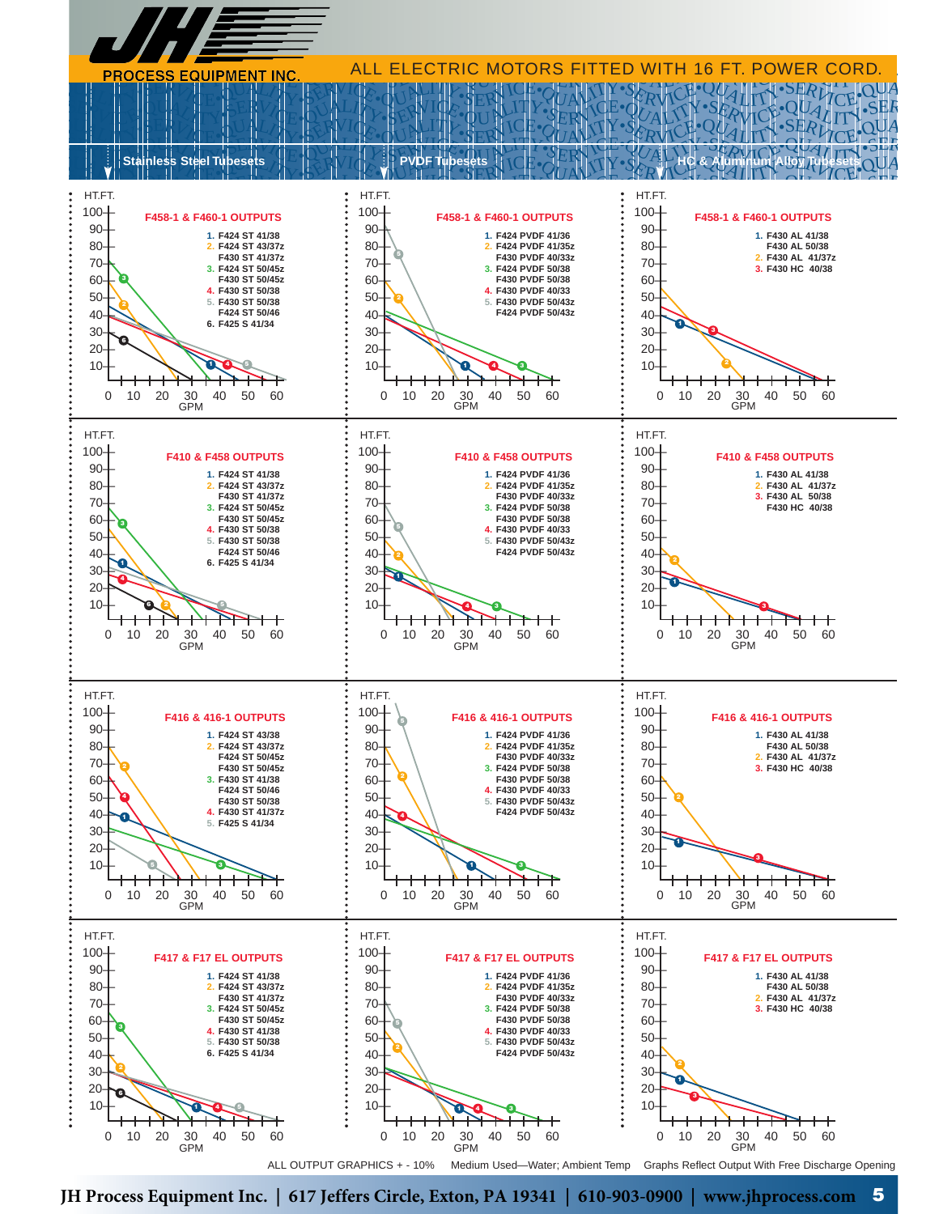

**5 JH Process Equipment Inc. | 617 Jeffers Circle, Exton, PA 19341 | 610-903-0900 | www.jhprocess.com**